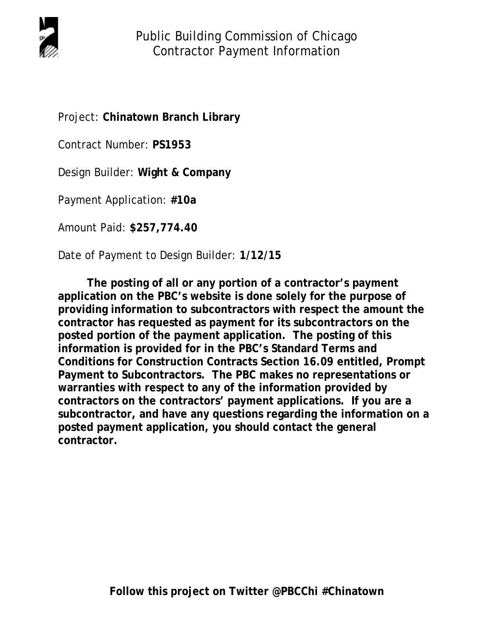

Project: **Chinatown Branch Library**

Contract Number: **PS1953**

Design Builder: **Wight & Company**

Payment Application: **#10a**

Amount Paid: **\$257,774.40**

Date of Payment to Design Builder: **1/12/15**

**The posting of all or any portion of a contractor's payment application on the PBC's website is done solely for the purpose of providing information to subcontractors with respect the amount the contractor has requested as payment for its subcontractors on the posted portion of the payment application. The posting of this information is provided for in the PBC's Standard Terms and Conditions for Construction Contracts Section 16.09 entitled, Prompt Payment to Subcontractors. The PBC makes no representations or warranties with respect to any of the information provided by contractors on the contractors' payment applications. If you are a subcontractor, and have any questions regarding the information on a posted payment application, you should contact the general contractor.**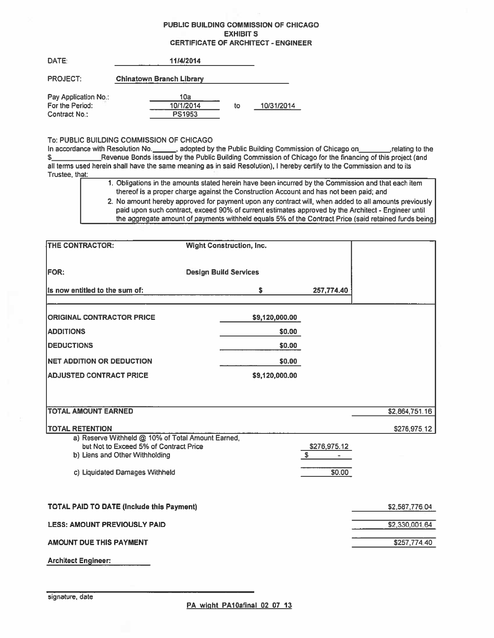## **PUBLIC BUILDING COMMISSION OF CHICAGO EXHIBIT S CERTIFICATE OF ARCHITECT - ENGINEER**

| DATE:                | 11/4/2014                       |    |            |
|----------------------|---------------------------------|----|------------|
| <b>PROJECT:</b>      | <b>Chinatown Branch Library</b> |    |            |
| Pay Application No.: | 10a                             |    |            |
| For the Period:      | 10/1/2014                       | to | 10/31/2014 |
| Contract No.:        | PS1953                          |    |            |

## To: PUBLIC BUILDING COMMISSION OF CHICAGO

all terms used herein shall have the same meaning as in said Resolution). I hereby certify to the Commission and to its Trustee, that:

> 1. Obligations in the amounts stated herein have been incurred by the Commission and that each item thereof is a proper charge against the Construction Account and has not been paid; and

2. No amount hereby approved for payment upon any contract will, when added to all amounts previously paid upon such contract, exceed 90% of current estimates approved by the Architect - Engineer until the aggregate amount of payments withheld equals 5% of the Contract Price (said retained funds being

| THE CONTRACTOR:                                                                                                               | <b>Wight Construction, Inc.</b> |                    |                |
|-------------------------------------------------------------------------------------------------------------------------------|---------------------------------|--------------------|----------------|
| <b>FOR:</b>                                                                                                                   | <b>Design Build Services</b>    |                    |                |
| Its now entitled to the sum of:                                                                                               | s                               | 257,774.40         |                |
| <b>ORIGINAL CONTRACTOR PRICE</b>                                                                                              | \$9,120,000.00                  |                    |                |
| <b>ADDITIONS</b>                                                                                                              | \$0.00                          |                    |                |
| <b>DEDUCTIONS</b>                                                                                                             | \$0.00                          |                    |                |
| <b>NET ADDITION OR DEDUCTION</b>                                                                                              | \$0.00                          |                    |                |
| <b>ADJUSTED CONTRACT PRICE</b>                                                                                                | \$9,120,000.00                  |                    |                |
|                                                                                                                               |                                 |                    |                |
| <b>TOTAL AMOUNT EARNED</b>                                                                                                    |                                 |                    | \$2,864,751.16 |
| <b>TOTAL RETENTION</b>                                                                                                        |                                 |                    | \$276,975.12   |
| a) Reserve Withheld @ 10% of Total Amount Earned,<br>but Not to Exceed 5% of Contract Price<br>b) Liens and Other Withholding |                                 | \$276,975.12<br>\$ |                |
| c) Liquidated Damages Withheld                                                                                                |                                 | \$0.00             |                |
| <b>TOTAL PAID TO DATE (Include this Payment)</b>                                                                              |                                 |                    | \$2,587,776.04 |
| <b>LESS: AMOUNT PREVIOUSLY PAID</b>                                                                                           |                                 |                    | \$2,330,001.64 |
| <b>AMOUNT DUE THIS PAYMENT</b>                                                                                                |                                 |                    | \$257,774.40   |
| <b>Architect Engineer:</b>                                                                                                    |                                 |                    |                |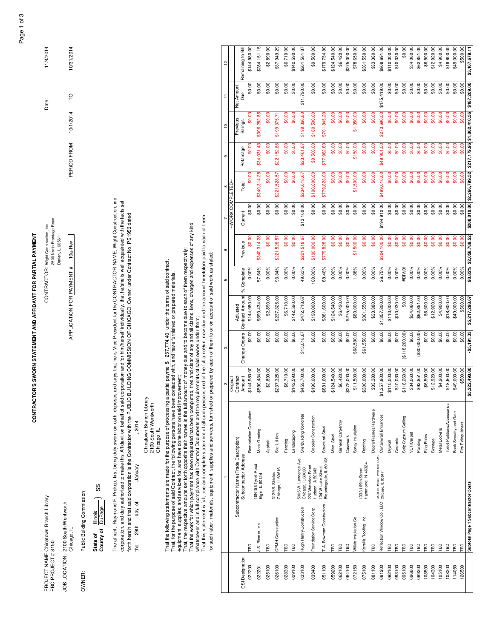CONTRACTOR'S SWORN STATEMENT AND AFFIDAVIT FOR PARTIAL PAYMENT **CONTRACTOR'S SWORN STATEMENT AND AFFiDAViT FOR PARTiAL PAYMENT**

Darien, iL 60561

APPLICATION FOR PAYMENT #

Darien, iL 60561 10a-Rev

CONTRACTOR: Wight Construction, inc.<br>2500 North Frontage Road

PROJECT NAME Chinatown Branch Library Chinatown Branch Library Date: Wight Construction, inc. Date: 11/4/2014<br>PROJECT NAME Chinatown Branch Date: PBC PROJECT # 81500 North Frontage Road Product #: 81500 PBC PRODUct #: 81500 PBC PROJECT #: 81500 North Frontage Road PROJECT NAME Chinatown Branch Library<br>PBC PROJECT # 8150

Chicago, IL APPLICATION FOR PAYMENT # 10a-Rev POa-Rev POATON FOR PAYMENT # 104-Rev PERIOD FROM 10/1/2014 TO 10/31/2014 TO 10/31/2014 JOB LOCATION: 2100 South Wentworth JOB LOCATION: 2100 South Wentworth Chicago, IL

OWNER:

Public Building Commission OWNER: Public Building Commission

 ss State of  $\frac{\text{Ilinois}}{\text{DuPage}}$ **County of** DuPage **State of** Illinois State of

The affiant, Raymond F. Prokop, first being duly sworn on oath, deposes and says that he is Vice President for the CONTRACTOR NAME, Wight Construction, inc The affiant, Raymond F. Prokop, first being duly sworn on oath, deposes and says that he is Vice President for the CONTRACTOR NAME, Wight Construction, inc corporation, and duly authorized to make this Afifdavit on behalf of said corporation and for him/herself individually, that he/she is well acquainted with the facts set corporation, and duly authorized to make this Affidavit on behalf of said corporation and for him/herself individually, that he/she is well acquainted with the facts set forth herein and that said corporation is the Contractor with the PUBLIC BUILDING COMMISSION OF CHICAGO, Owner, under Contract No. PS1953 dated forth herein and that said corporation is the Contractor with the PUBLIC BUILDiNG COMMISSION OF CHICAGO, Owner, under Contract No. PS1953 dated  $.2014$ day of \_\_\_\_\_\_\_January\_\_\_\_\_\_\_\_\_\_\_, 2014 January\_ क<br>श the

Chinatown Branch Library Chinatown Branch Library 2100 South Wentworth<br>Chicago, IL 2100 South Wentworth Chicago, IL

|<br>|<br>|

\_\_\_

That the following statements are made for the purpose of processing a partial payme \$ 257,774.40 under the terms of said contract.<br>That, for the purpose of said Contract, the following persons have been contacted with, an That the following statements are made for the purpose of processing a partial payme  $$~257,774.40$  under the terms of said contract. That, for the purpose of said Contract, the following persons have been contacted with, and have furnished or prepared materials,

equipment, supplies, and services for, and have done labor on said improvement; equipment, supplies, and services for, and have done labor on said improvement;

That the work for which payment has been requested has been completed, free and clear of any and all claims, liens, charges and expenses of any kind That, the respecitve amouns set forth opposite their names is the full amount of money due and to become due to each of them respectively; That, the respecitve amouns set forth opposite their names is the full amount of money due and to become due to each of them respectively;

That the work for which payment has been requested has been completed, free and clear of any and all claims, liens, charges and expenses of any kind<br>whatsoever and in full compliance with Contract Documents and the require That this statement is full, true and complete statement of all such persons and of the full amo9unt now due and the amount heretofore paid to each of them whatsoever and in full compliance with Contract Documents and the requirements of said owner under them;

for such labor, materials, equipment, supplies and services, furnished or prepared by each of them to or on account of said work as stated: for such labor, materials, equipment, supplies and services, furnished or prepared by each of them to or on account of said work as stated:

| $\frac{1}{2}$  |                  |                                        | Remaining to Bi               | \$144,980.00           | \$284,151.15                                 | \$2,890.00 | \$37,949.29                          | \$6,710.00 | \$142,590.00 | \$261,561.87                              | \$9,500.00                            | \$179,754.80                                | \$124,540.00 | \$6,420.00        | \$275,000.00 | \$78,650.00          | \$361,550.00                           | \$33,380.00           | \$908,691.00                                                                                    | \$110,000.00 | \$10,030.00 | \$0.00               | \$34,060.00       | \$62,851.00   | \$6,500.00 | \$12,920.00 | \$4,900.00           | \$18,600.00                   | \$49,000.00            | \$500.00           | \$3,167,679.11                                          |
|----------------|------------------|----------------------------------------|-------------------------------|------------------------|----------------------------------------------|------------|--------------------------------------|------------|--------------|-------------------------------------------|---------------------------------------|---------------------------------------------|--------------|-------------------|--------------|----------------------|----------------------------------------|-----------------------|-------------------------------------------------------------------------------------------------|--------------|-------------|----------------------|-------------------|---------------|------------|-------------|----------------------|-------------------------------|------------------------|--------------------|---------------------------------------------------------|
| Ξ              |                  | Net Amoun                              | Due                           | \$0.00                 | \$0.00                                       | \$0.00     | \$0.00                               | \$0.00     | \$0.00       | \$11,790.00                               | \$0.00                                | \$0.00                                      | \$0.00       | \$0.00            | \$0.00       | \$0.00               | \$0.00                                 | \$0.00                | \$175,419.00                                                                                    | \$0.00       | \$0.00      | \$0.00               | \$0.00            | \$0.00        | \$0.00     | \$0.00      | \$0.00               | \$0.00                        | \$0.00                 | \$0.00             | \$187,209.00                                            |
| $\overline{c}$ |                  | Previous                               | Billings                      | \$0.00                 | \$306,282.85                                 | \$0.00     | \$199,375.71                         | \$0.00     | \$0.00       | \$199,366.80                              | \$180,500.00                          | \$701,845.20                                | \$0.00       | \$0.00            | \$0.00       | \$1,350.00           | \$0.00                                 | \$0.00                | \$273,690.00                                                                                    | \$0.00       | \$0.00      | \$0.00               | \$0.00            | \$0.00        | \$0.00     | \$0.00      | \$0.00               | \$0.00                        | \$0.00                 | \$0.00             |                                                         |
| თ              |                  |                                        | Retainage                     | 60.00                  | \$34,031.43                                  | \$0.00     | \$22,152.86                          | \$0.00     | \$0.00       | \$23,461.87                               | \$9,500.00                            | \$77,982.80                                 | \$0.00       | \$0.00            | \$0.00       | \$150.00             | \$0.00                                 | \$0.00                | \$49,901.00                                                                                     | \$0.00       | \$0.00      | \$0.00               | \$0.00            | \$0.00        | \$0.00     | \$0.00      | \$0.00               | \$0.00                        | \$0.00                 | \$0.00             |                                                         |
| 8              |                  |                                        | Total                         | \$0.00                 | \$340,314.28                                 | \$0.00     | \$221,528.57                         | \$0.00     | \$0.00       | \$234,618.67                              | \$190,000.00                          | \$779,828.00                                | \$0.00       | \$0.00            | \$0.00       | \$1,500.00           | \$0.00                                 | \$0.00                | \$499,010.00                                                                                    | \$0.00       | \$0.00      | \$0.00               | \$0.00            | \$0.00        | \$0.00     | \$0.00      | \$0.00               | \$0.00                        | \$0.00                 | \$0.00             | \$208.010.00 \$2,266,799.52 \$217,179.96 \$1,862,410.56 |
|                | --WORK COMPLETED |                                        | Current                       | \$0.00                 | \$0.00                                       | \$0.00     | \$0.00                               | \$0.00     | \$0.00       | \$13,100.00                               | \$0.00                                | \$0.00                                      | \$0.00       | \$0.00            | \$0.00       | \$0.00               | \$0.00                                 | \$0.00                | \$194,910.00                                                                                    | \$0.00       | \$0.00      | \$0.00               | \$0.00            | \$0.00        | \$0.00     | \$0.00      | \$0.00               | \$0.00                        | \$0.00                 | \$0.00             |                                                         |
| 6              |                  |                                        | Previous                      | \$0.00                 | \$340,314.28                                 | \$0.00     | \$221,528.57                         | \$0.00     | \$0.00       | \$221,518.67                              | \$190,000.00                          | \$779,828.00                                | \$0.00       | \$0.00            | \$0.00       | ,500.00<br>5         | \$0.00                                 | \$0.00                | \$304,100.00                                                                                    | \$0.00       | \$0.00      | \$0.00               | \$0.00            | \$0.00        | \$0.00     | \$0.00      | \$0.00               | \$0.00                        | \$0.00                 | \$0.00             | 90.82% \$2,058.789.52                                   |
| S              |                  |                                        | % Complete                    | 0.00%                  | 57.64%                                       | 0.00%      | 93.34%                               | 0.00%      | 0.00%        | 49.63%                                    | 100.00%                               | 88.46%                                      | 0.00%        | 0.00%             | 0.00%        | 1.88%                | 0.00%                                  | 0.00%                 | 36.75%                                                                                          | 0.00%        | 0.00%       | #DIV/0!              | 0.00%             | 0.00%         | 0.00%      | 0.00%       | 0.00%                | 0.00%                         | 0.00%                  | 0.00%              |                                                         |
|                |                  | Adiusted                               |                               | \$144,980.00           | \$590,434.00                                 | \$2,890.00 | \$237,325.00                         | \$6,710.00 | \$142,590.00 | \$472,718.67                              | \$190,000.00                          | \$881,600.00                                | \$124,540.00 | \$6,420.00        | \$275,000.00 | \$80,000.00          | \$361,550.00                           | \$33,380.00           | \$1,357,800.00                                                                                  | \$110,000.00 | \$10,030.00 | \$0.00               | \$34,060.00       | \$62,851.00   | \$6,500.00 | \$12,920.00 | \$4,900.00           | \$18,600.00                   | \$49,000.00            | \$500.00           | \$5,217,298.67                                          |
| c              |                  |                                        | Change Orders Contract Amount | \$0.00                 | \$0.00                                       | \$0.00     | \$0.00                               | \$0.00     | \$0.00       | \$13,018.67                               | \$0.00                                | \$0.00                                      | \$0.00       | \$0.00            | \$0.00       | \$68,500.00          | \$61,550.00                            | \$0.00                | \$0.00                                                                                          | \$0.00       | \$0.00      | \$118,260.00)        | \$0.00            | (\$30,000.00) | \$0.00     | \$0.00      | \$0.00               | \$0.00                        | \$0.00                 | \$0.00             | $-$5,191.33$                                            |
| $\sim$         | Original         | Contract                               | Amount                        | \$144,980.00           | \$590,434.00                                 | \$2,890.00 | \$237,325.00                         | \$6,710.00 | \$142,590.00 | \$459,700.00                              | \$190,000.00                          | \$881,600.00                                | \$124,540.00 | \$6,420.00        | \$275,000.00 | \$11,500.00          | \$300,000.00                           | \$33,380.00           | \$1,357,800.00                                                                                  | \$110,000.00 | \$10,030.00 | \$118,260.00         | \$34,060.00       | \$92,851.00   | \$6,500.00 | \$12,920.00 | \$4,900.00           | \$18,600.00                   | \$49,000.00            | \$500.00           | \$5,222,490.00                                          |
|                |                  |                                        |                               | Remediation Consultant | Vlass Grading                                | Asphalt    | Site Utilities                       | Fencing    | Landscaping  | Site/Building Concrete                    | Geopier Construction                  | Structural Steel                            | Viisc. Steel | General Carpentry | Casework     | Spray Insulation     | Roofing                                | Doors/Frames/Hardware | Curtainwall Entrances                                                                           | Drywall      | Ceramic     | Strip Gypsum Ceiling | <b>VCT/Carpet</b> | Painting      | Flag Poles | Signage     | <b>Vetal Lockers</b> | Toilet Partitions/Accessories | Book Security and Gate | Fire Extinguishers |                                                         |
|                |                  | Subcontractor Name (Trade Description) | Subcontractor Address         |                        | <b>IGN158 Tyrell Road</b><br>Elgin, IL 60124 |            | Chicago, IL 60616<br>3129 S. Shields |            |              | 5905 W. Lawrence Ave<br>Chicago, IL 60630 | 220 Waterloo Road<br>Hudson, IA 50643 | Bloomingdale, IL 60108<br>134 W Lake Street |              |                   |              |                      | Hammond, IN 46324<br>1333 169th Street |                       |                                                                                                 |              |             |                      |                   |               |            |             |                      |                               |                        |                    |                                                         |
|                |                  |                                        |                               | GB.                    | I.S. Riemer, Inc.                            | ГØ         | CPMH Construction                    | 6          | <b>BD</b>    | Hugh Henry Construction                   | Foundation Service Corp               | T.A. Bowman Constructors                    | ГBD          | 品                 | ГBD          | Wilkin Insulation Co | Korellis Roofing, Inc.                 | <b>BD</b>             | Reflection Window Co., LLC משפט, וL ה-Reflection Window Co., LLC מומפוס, וL ה-Reflection Window | <b>TBD</b>   | e,          | 음                    | <b>BD</b>         | ГBD           | <b>BD</b>  | <b>PBD</b>  | 6                    | <b>BD</b>                     | <b>FBD</b>             | e                  | Subtotal Page 1 Subcontractor Costs                     |
|                |                  |                                        | CSI Designation               | 022200                 | 022201                                       | 025100     | 026100                               | 028300     | 029100       | 033100                                    | 033400                                | 051100                                      | 059200       | 062100            | 064100       | 072150               | 075100                                 | 081100                | 081200                                                                                          | 092100       | 093100      | 095100               | 096600            | 099200        | 103500     | 104300      | 105100               | 108200                        | 114050                 | 126500             |                                                         |

11/4/2014

Date:

10/31/2014

 $\overline{C}$ 

10/1/2014

PERIOD FROM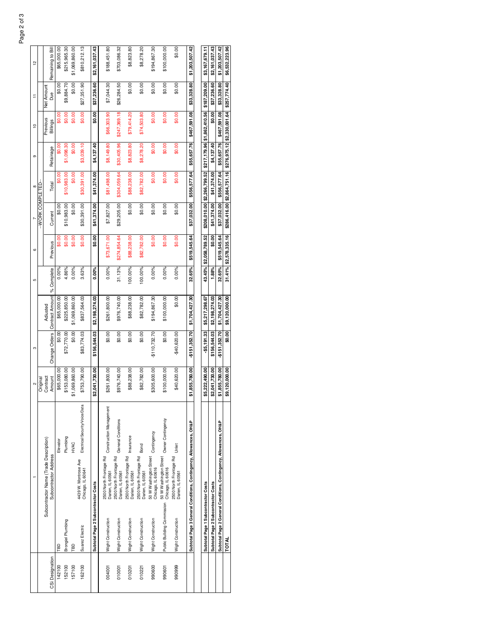|                 |                                     |                                                                   |                                                   | 2              | ო              |                                            | Ю       | G                     |                 | $\infty$                    | တ                           | $\tilde{=}$                  | Ξ            | 51                |
|-----------------|-------------------------------------|-------------------------------------------------------------------|---------------------------------------------------|----------------|----------------|--------------------------------------------|---------|-----------------------|-----------------|-----------------------------|-----------------------------|------------------------------|--------------|-------------------|
|                 |                                     |                                                                   |                                                   | Original       |                |                                            |         |                       | -WORK COMPLETED |                             |                             |                              |              |                   |
|                 |                                     | Subcontractor Name (Trade Description)                            |                                                   | Contract       |                | Adiusted                                   |         |                       |                 |                             | Retainage                   | Previous                     | Net Amount   | Remaining to Bill |
| CSi Designation |                                     | Subcontractor Address                                             |                                                   | Amount         |                | Change Orders Contract Amount   % Complete |         | Previous              | Current         | Total                       |                             | <b>Billings</b>              | <b>Bue</b>   |                   |
| 142100          | <b>G</b>                            |                                                                   | Elevator                                          | \$65,000.00    | \$0.00         | \$65,000.00                                | 0.00%   | \$0.00                | \$0.00          | \$0.00                      | $\frac{80.00}{5}$           | \$0.00                       | \$0.00       | \$65,000.00       |
| 152100          | Brongiel Plumbing                   |                                                                   | Plumbing                                          | \$153,080.00   | \$72,770.00    | \$225,850.00                               | 4.86%   | \$0.00                | \$10,983.00     | \$10,983.00                 | \$1,098.30                  | \$0.00                       | \$9,884.70   | \$215,965.30      |
| 157100          | TBD                                 |                                                                   | HVAC                                              | \$1,069,860.00 | \$0.00         | \$1,069,860.00                             | 0.00%   | \$0.00                | \$0.00          | \$0.00                      | \$0.00                      | \$0.00                       | \$0.00       | \$1,069,860.00    |
| 162100          | Suarez Electric                     | 4439 W. Montrose Ave<br>Chicago, IL 60641                         | Electrical/Security/Voice/Data                    | \$753,790.00   | \$83,774.03    | \$837,564.03                               | 3.63%   | \$0.00                | \$30,391.00     | \$30,391.00                 | \$3,039.10                  | \$0.00                       | \$27,351.90  | \$810,212.13      |
|                 | Subtotal Page 2 Subcontractor Costs |                                                                   |                                                   | \$2,041,730.00 | \$156,544.03   | \$2.198.274.03                             | 0.00%   | \$0.00                | \$41,374.00     | \$41.374.00                 | \$4,137.40                  | \$0.00                       | \$37,236.60  | \$2,161,037.43    |
| 004001          | Wight Construction                  |                                                                   | 2500 North Frontage Rd<br>Construction Management | \$261,800.00   | \$0.00         | \$261,800.00                               | 0.00%   | \$73,671.00           | \$7,827.00      | \$81,498.00                 | \$8,149.80                  | \$66,303.90                  | \$7,044.30   | \$188,451.80      |
| 010001          | Wight Construction                  | 2500 North Frontage Rd<br>Darien, IL 60561                        | General Conditions                                | \$976,740.00   | \$0.00         | \$976,740.00                               | 31.13%  | \$274,854.64          | \$29,205.00     | \$304,059.64                | \$30,405.96                 | \$247,369.18                 | \$26,284.50  | \$703,086.32      |
| 010201          | Wight Construction                  | 2500 North Frontage Rd<br>Insurance<br>Darien, IL 60561           |                                                   | \$88,238.00    | \$0.00         | \$88,238.00                                | 100.00% | \$88,238.00           | \$0.00          | \$88,238.00                 | \$8,823.80                  | \$79,414.20                  | \$0.00       | \$8,823.80        |
| 010221          | Wight Construction                  | 2500 North Frontage Rd<br>Darien, IL 60561                        | Bond                                              | \$82,782.00    | \$0.00         | \$82,782.00                                | 100.00% | \$82,782.00           | \$0.00          | \$82,782.00                 | \$8,278.20                  | \$74,503.80                  | \$0.00       | \$8,278.20        |
| 990600          | Wight Construction                  | 50 W Washington Street<br>Chicago, IL 60616                       | Contingency                                       | \$305,600.00   | $-5110,732.70$ | \$194,867.30                               | 0.00%   | \$0.00                | \$0.00          | \$0.00                      | \$0.00                      | \$0.00                       | \$0.00       | \$194,867.30      |
| 990601          | Public Building Commission          | 50 W Washington Street<br>Chicago, IL 60616                       | Owner Contingency                                 | \$100,000.00   | \$0.00         | \$100,000.00                               | 0.00%   | \$0.00                | \$0.00          | \$0.00                      | \$0.00                      | \$0.00                       | \$0.00       | \$100,000.00      |
| 990999          | Wight Construction                  | 2500 North Frontage Rd<br>Darien, IL 60561                        | Unlet                                             | \$40,620.00    | \$40,620.00    | \$0.00                                     | 0.00%   | \$0.00                | \$0.00          | \$0.00                      | \$0.00                      | \$0.00                       | \$0.00       | \$0.00            |
|                 |                                     | Subtotal Page 3 General Conditions, Contingency, Allowances, OH&P |                                                   | \$1,855,780.00 | \$151,352.70   | \$1,704,427.30                             | 32.65%  | \$519,545.64          | \$37,032.00     | \$556,577.64                | \$55,657.76                 | \$467.591.08                 | \$33,328.80  | \$1,203,507.42    |
|                 |                                     |                                                                   |                                                   |                |                |                                            |         |                       |                 |                             |                             |                              |              |                   |
|                 | Subtotal Page 1 Subcontractor Costs |                                                                   |                                                   | \$5,222,490.00 | \$5.191.33     | \$5.217.298.67                             | 43.45%  | \$2,058,789.52        | \$208.010.00    | \$2,266,799.52              |                             | \$217, 179.96 \$1,862,410.56 | \$187,209.00 | \$3.167.679.11    |
|                 | Subtotal Page 2 Subcontractor Costs |                                                                   |                                                   | \$2.041.730.00 | \$156.544.03   | \$2.198.274.03                             | 1.88%   | \$0.00                | \$41,374.00     | \$41,374.00                 | \$4,137.40                  | \$0.00                       | \$37,236.60  | \$2,161,037.43    |
|                 |                                     | Subtotal Page 2 General Conditions, Contingency, Allowances, OH&P |                                                   | \$1,855,780.00 | \$151,352.70   | \$1,704.427.30                             | 32.65%  | \$519.545.64          | \$37,032.00     | \$556.577.64                | \$55,657.76                 | \$467.591.08                 | \$33,328.80  | \$1,203,507.42    |
|                 | TOTAL                               |                                                                   |                                                   | \$9,120,000.00 | \$0.00         | \$9,120,000.00                             |         | 31.41% \$2,578,335.16 |                 | \$286.416.00 \$2,864.751.16 | \$276,975.12 \$2,330,001.64 |                              | \$257,774.40 | \$6,532,223.96    |

| Page 1 Si                                                   | \$5,222,490.00 | $-$ \$5,19133 \$5,217,298.67    |       | 43.45% \$2,058,789.52                                                                         |                           | \$208,010.00 \$2,266,799.52 \$217,179.96 \$1,862,410.56 \$187,209.00 |            |                    | \$3,167,679.11                                                               |
|-------------------------------------------------------------|----------------|---------------------------------|-------|-----------------------------------------------------------------------------------------------|---------------------------|----------------------------------------------------------------------|------------|--------------------|------------------------------------------------------------------------------|
| mane 2 Super                                                | \$2,041,730.00 | \$156,544.03 \$2,198,274.03     | 1.88% | \$0.00                                                                                        | $$41,374.00$ $$41,374.00$ |                                                                      | \$4,137.40 | \$0.00 \$37,236.60 | \$2,161,037.43                                                               |
| uowance <sup>-</sup><br>Il Conditions. Co<br>Page 2 General | \$1,855,780.00 | $-$ \$151,352.70 \$1,704,427.30 |       | 32.65% \$519,545.64                                                                           |                           |                                                                      |            |                    | \$37,032.00 \$556,577.64 \$55,657.76 \$467,591.08 \$33,328.80 \$1,203,507.42 |
|                                                             | \$9,120,000.00 | \$0.00 \$9,120,000.00           |       | $31.41\%$ \$2,578,335.16 \$286,416.00 \$2,864,751.16 \$276,975.12 \$2,330,001.64 \$257,774.40 |                           |                                                                      |            |                    | \$6,532,223.96                                                               |
|                                                             |                |                                 |       |                                                                                               |                           |                                                                      |            |                    |                                                                              |